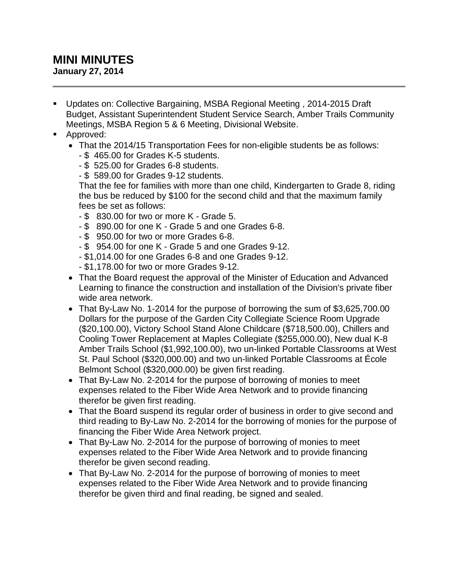## **MINI MINUTES**

**January 27, 2014**

- Updates on: Collective Bargaining, MSBA Regional Meeting , 2014-2015 Draft Budget, Assistant Superintendent Student Service Search, Amber Trails Community Meetings, MSBA Region 5 & 6 Meeting, Divisional Website.
- **Approved:** 
	- That the 2014/15 Transportation Fees for non-eligible students be as follows:
		- \$ 465.00 for Grades K-5 students.
		- \$ 525.00 for Grades 6-8 students.
		- \$ 589.00 for Grades 9-12 students.

That the fee for families with more than one child, Kindergarten to Grade 8, riding the bus be reduced by \$100 for the second child and that the maximum family fees be set as follows:

- \$ 830.00 for two or more K Grade 5.
- \$ 890.00 for one K Grade 5 and one Grades 6-8.
- \$ 950.00 for two or more Grades 6-8.
- \$ 954.00 for one K Grade 5 and one Grades 9-12.
- \$1,014.00 for one Grades 6-8 and one Grades 9-12.
- \$1,178.00 for two or more Grades 9-12.
- That the Board request the approval of the Minister of Education and Advanced Learning to finance the construction and installation of the Division's private fiber wide area network.
- That By-Law No. 1-2014 for the purpose of borrowing the sum of \$3,625,700.00 Dollars for the purpose of the Garden City Collegiate Science Room Upgrade (\$20,100.00), Victory School Stand Alone Childcare (\$718,500.00), Chillers and Cooling Tower Replacement at Maples Collegiate (\$255,000.00), New dual K-8 Amber Trails School (\$1,992,100.00), two un-linked Portable Classrooms at West St. Paul School (\$320,000.00) and two un-linked Portable Classrooms at École Belmont School (\$320,000.00) be given first reading.
- That By-Law No. 2-2014 for the purpose of borrowing of monies to meet expenses related to the Fiber Wide Area Network and to provide financing therefor be given first reading.
- That the Board suspend its regular order of business in order to give second and third reading to By-Law No. 2-2014 for the borrowing of monies for the purpose of financing the Fiber Wide Area Network project.
- That By-Law No. 2-2014 for the purpose of borrowing of monies to meet expenses related to the Fiber Wide Area Network and to provide financing therefor be given second reading.
- That By-Law No. 2-2014 for the purpose of borrowing of monies to meet expenses related to the Fiber Wide Area Network and to provide financing therefor be given third and final reading, be signed and sealed.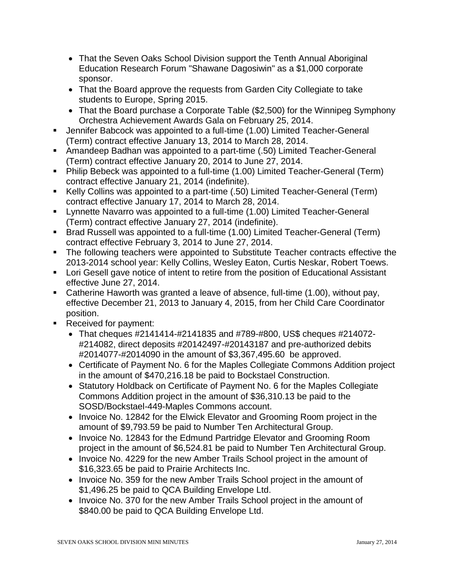- That the Seven Oaks School Division support the Tenth Annual Aboriginal Education Research Forum "Shawane Dagosiwin" as a \$1,000 corporate sponsor.
- That the Board approve the requests from Garden City Collegiate to take students to Europe, Spring 2015.
- That the Board purchase a Corporate Table (\$2,500) for the Winnipeg Symphony Orchestra Achievement Awards Gala on February 25, 2014.
- Jennifer Babcock was appointed to a full-time (1.00) Limited Teacher-General (Term) contract effective January 13, 2014 to March 28, 2014.
- Amandeep Badhan was appointed to a part-time (.50) Limited Teacher-General (Term) contract effective January 20, 2014 to June 27, 2014.
- Philip Bebeck was appointed to a full-time (1.00) Limited Teacher-General (Term) contract effective January 21, 2014 (indefinite).
- Kelly Collins was appointed to a part-time (.50) Limited Teacher-General (Term) contract effective January 17, 2014 to March 28, 2014.
- **EXECT** Lynnette Navarro was appointed to a full-time (1.00) Limited Teacher-General (Term) contract effective January 27, 2014 (indefinite).
- Brad Russell was appointed to a full-time (1.00) Limited Teacher-General (Term) contract effective February 3, 2014 to June 27, 2014.
- The following teachers were appointed to Substitute Teacher contracts effective the 2013-2014 school year: Kelly Collins, Wesley Eaton, Curtis Neskar, Robert Toews.
- **Lori Gesell gave notice of intent to retire from the position of Educational Assistant** effective June 27, 2014.
- Catherine Haworth was granted a leave of absence, full-time (1.00), without pay, effective December 21, 2013 to January 4, 2015, from her Child Care Coordinator position.
- Received for payment:
	- That cheques #2141414-#2141835 and #789-#800, US\$ cheques #214072- #214082, direct deposits #20142497-#20143187 and pre-authorized debits #2014077-#2014090 in the amount of \$3,367,495.60 be approved.
	- Certificate of Payment No. 6 for the Maples Collegiate Commons Addition project in the amount of \$470,216.18 be paid to Bockstael Construction.
	- Statutory Holdback on Certificate of Payment No. 6 for the Maples Collegiate Commons Addition project in the amount of \$36,310.13 be paid to the SOSD/Bockstael-449-Maples Commons account.
	- Invoice No. 12842 for the Elwick Elevator and Grooming Room project in the amount of \$9,793.59 be paid to Number Ten Architectural Group.
	- Invoice No. 12843 for the Edmund Partridge Elevator and Grooming Room project in the amount of \$6,524.81 be paid to Number Ten Architectural Group.
	- Invoice No. 4229 for the new Amber Trails School project in the amount of \$16,323.65 be paid to Prairie Architects Inc.
	- Invoice No. 359 for the new Amber Trails School project in the amount of \$1,496.25 be paid to QCA Building Envelope Ltd.
	- Invoice No. 370 for the new Amber Trails School project in the amount of \$840.00 be paid to QCA Building Envelope Ltd.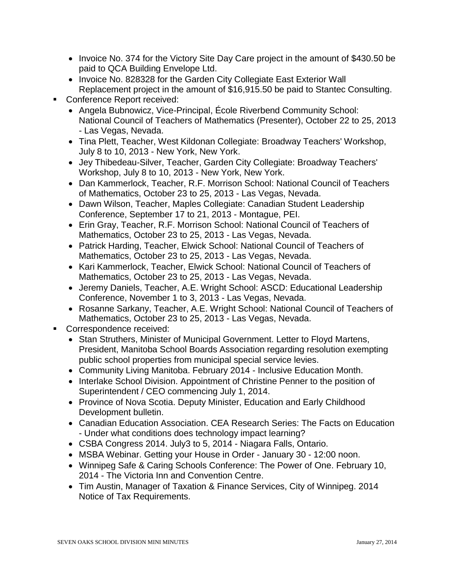- Invoice No. 374 for the Victory Site Day Care project in the amount of \$430.50 be paid to QCA Building Envelope Ltd.
- Invoice No. 828328 for the Garden City Collegiate East Exterior Wall Replacement project in the amount of \$16,915.50 be paid to Stantec Consulting.
- Conference Report received:
	- Angela Bubnowicz, Vice-Principal, École Riverbend Community School: National Council of Teachers of Mathematics (Presenter), October 22 to 25, 2013 - Las Vegas, Nevada.
	- Tina Plett, Teacher, West Kildonan Collegiate: Broadway Teachers' Workshop, July 8 to 10, 2013 - New York, New York.
	- Jey Thibedeau-Silver, Teacher, Garden City Collegiate: Broadway Teachers' Workshop, July 8 to 10, 2013 - New York, New York.
	- Dan Kammerlock, Teacher, R.F. Morrison School: National Council of Teachers of Mathematics, October 23 to 25, 2013 - Las Vegas, Nevada.
	- Dawn Wilson, Teacher, Maples Collegiate: Canadian Student Leadership Conference, September 17 to 21, 2013 - Montague, PEI.
	- Erin Gray, Teacher, R.F. Morrison School: National Council of Teachers of Mathematics, October 23 to 25, 2013 - Las Vegas, Nevada.
	- Patrick Harding, Teacher, Elwick School: National Council of Teachers of Mathematics, October 23 to 25, 2013 - Las Vegas, Nevada.
	- Kari Kammerlock, Teacher, Elwick School: National Council of Teachers of Mathematics, October 23 to 25, 2013 - Las Vegas, Nevada.
	- Jeremy Daniels, Teacher, A.E. Wright School: ASCD: Educational Leadership Conference, November 1 to 3, 2013 - Las Vegas, Nevada.
	- Rosanne Sarkany, Teacher, A.E. Wright School: National Council of Teachers of Mathematics, October 23 to 25, 2013 - Las Vegas, Nevada.
- Correspondence received:
	- Stan Struthers, Minister of Municipal Government. Letter to Floyd Martens, President, Manitoba School Boards Association regarding resolution exempting public school properties from municipal special service levies.
	- Community Living Manitoba. February 2014 Inclusive Education Month.
	- Interlake School Division. Appointment of Christine Penner to the position of Superintendent / CEO commencing July 1, 2014.
	- Province of Nova Scotia. Deputy Minister, Education and Early Childhood Development bulletin.
	- Canadian Education Association. CEA Research Series: The Facts on Education - Under what conditions does technology impact learning?
	- CSBA Congress 2014. July3 to 5, 2014 Niagara Falls, Ontario.
	- MSBA Webinar. Getting your House in Order January 30 12:00 noon.
	- Winnipeg Safe & Caring Schools Conference: The Power of One. February 10, 2014 - The Victoria Inn and Convention Centre.
	- Tim Austin, Manager of Taxation & Finance Services, City of Winnipeg. 2014 Notice of Tax Requirements.